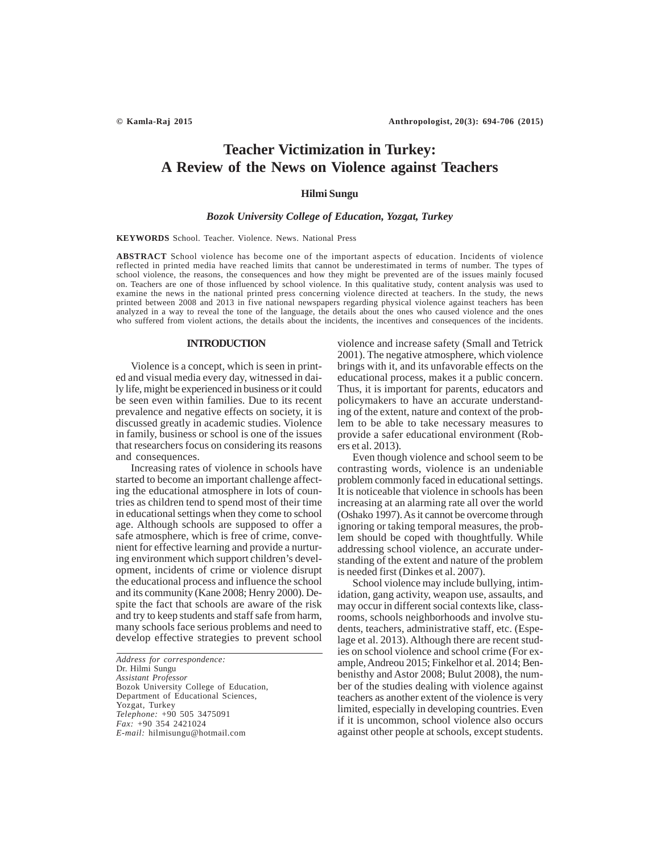# **Teacher Victimization in Turkey: A Review of the News on Violence against Teachers**

## **Hilmi Sungu**

## *Bozok University College of Education, Yozgat, Turkey*

**KEYWORDS** School. Teacher. Violence. News. National Press

**ABSTRACT** School violence has become one of the important aspects of education. Incidents of violence reflected in printed media have reached limits that cannot be underestimated in terms of number. The types of school violence, the reasons, the consequences and how they might be prevented are of the issues mainly focused on. Teachers are one of those influenced by school violence. In this qualitative study, content analysis was used to examine the news in the national printed press concerning violence directed at teachers. In the study, the news printed between 2008 and 2013 in five national newspapers regarding physical violence against teachers has been analyzed in a way to reveal the tone of the language, the details about the ones who caused violence and the ones who suffered from violent actions, the details about the incidents, the incentives and consequences of the incidents.

## **INTRODUCTION**

Violence is a concept, which is seen in printed and visual media every day, witnessed in daily life, might be experienced in business or it could be seen even within families. Due to its recent prevalence and negative effects on society, it is discussed greatly in academic studies. Violence in family, business or school is one of the issues that researchers focus on considering its reasons and consequences.

Increasing rates of violence in schools have started to become an important challenge affecting the educational atmosphere in lots of countries as children tend to spend most of their time in educational settings when they come to school age. Although schools are supposed to offer a safe atmosphere, which is free of crime, convenient for effective learning and provide a nurturing environment which support children's development, incidents of crime or violence disrupt the educational process and influence the school and its community (Kane 2008; Henry 2000). Despite the fact that schools are aware of the risk and try to keep students and staff safe from harm, many schools face serious problems and need to develop effective strategies to prevent school

*Address for correspondence:* Dr. Hilmi Sungu *Assistant Professor* Bozok University College of Education, Department of Educational Sciences, Yozgat, Turkey *Telephone:* +90 505 3475091 *Fax:* +90 354 2421024 *E-mail:* hilmisungu@hotmail.com

violence and increase safety (Small and Tetrick 2001). The negative atmosphere, which violence brings with it, and its unfavorable effects on the educational process, makes it a public concern. Thus, it is important for parents, educators and policymakers to have an accurate understanding of the extent, nature and context of the problem to be able to take necessary measures to provide a safer educational environment (Robers et al. 2013).

Even though violence and school seem to be contrasting words, violence is an undeniable problem commonly faced in educational settings. It is noticeable that violence in schools has been increasing at an alarming rate all over the world (Oshako 1997). As it cannot be overcome through ignoring or taking temporal measures, the problem should be coped with thoughtfully. While addressing school violence, an accurate understanding of the extent and nature of the problem is needed first (Dinkes et al. 2007).

School violence may include bullying, intimidation, gang activity, weapon use, assaults, and may occur in different social contexts like, classrooms, schools neighborhoods and involve students, teachers, administrative staff, etc. (Espelage et al. 2013). Although there are recent studies on school violence and school crime (For example, Andreou 2015; Finkelhor et al. 2014; Benbenisthy and Astor 2008; Bulut 2008), the number of the studies dealing with violence against teachers as another extent of the violence is very limited, especially in developing countries. Even if it is uncommon, school violence also occurs against other people at schools, except students.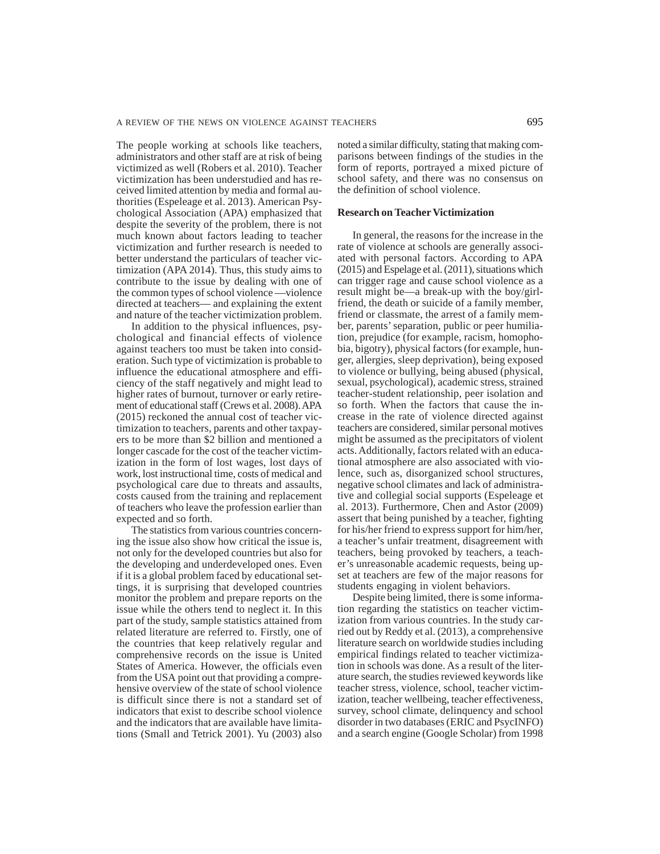The people working at schools like teachers, administrators and other staff are at risk of being victimized as well (Robers et al. 2010). Teacher victimization has been understudied and has received limited attention by media and formal authorities (Espeleage et al. 2013). American Psychological Association (APA) emphasized that despite the severity of the problem, there is not much known about factors leading to teacher victimization and further research is needed to better understand the particulars of teacher victimization (APA 2014). Thus, this study aims to contribute to the issue by dealing with one of the common types of school violence —violence directed at teachers— and explaining the extent and nature of the teacher victimization problem.

In addition to the physical influences, psychological and financial effects of violence against teachers too must be taken into consideration. Such type of victimization is probable to influence the educational atmosphere and efficiency of the staff negatively and might lead to higher rates of burnout, turnover or early retirement of educational staff (Crews et al. 2008). APA (2015) reckoned the annual cost of teacher victimization to teachers, parents and other taxpayers to be more than \$2 billion and mentioned a longer cascade for the cost of the teacher victimization in the form of lost wages, lost days of work, lost instructional time, costs of medical and psychological care due to threats and assaults, costs caused from the training and replacement of teachers who leave the profession earlier than expected and so forth.

The statistics from various countries concerning the issue also show how critical the issue is, not only for the developed countries but also for the developing and underdeveloped ones. Even if it is a global problem faced by educational settings, it is surprising that developed countries monitor the problem and prepare reports on the issue while the others tend to neglect it. In this part of the study, sample statistics attained from related literature are referred to. Firstly, one of the countries that keep relatively regular and comprehensive records on the issue is United States of America. However, the officials even from the USA point out that providing a comprehensive overview of the state of school violence is difficult since there is not a standard set of indicators that exist to describe school violence and the indicators that are available have limitations (Small and Tetrick 2001). Yu (2003) also

noted a similar difficulty, stating that making comparisons between findings of the studies in the form of reports, portrayed a mixed picture of school safety, and there was no consensus on the definition of school violence.

## **Research on Teacher Victimization**

In general, the reasons for the increase in the rate of violence at schools are generally associated with personal factors. According to APA (2015) and Espelage et al. (2011), situations which can trigger rage and cause school violence as a result might be—a break-up with the boy/girlfriend, the death or suicide of a family member, friend or classmate, the arrest of a family member, parents' separation, public or peer humiliation, prejudice (for example, racism, homophobia, bigotry), physical factors (for example, hunger, allergies, sleep deprivation), being exposed to violence or bullying, being abused (physical, sexual, psychological), academic stress, strained teacher-student relationship, peer isolation and so forth. When the factors that cause the increase in the rate of violence directed against teachers are considered, similar personal motives might be assumed as the precipitators of violent acts. Additionally, factors related with an educational atmosphere are also associated with violence, such as, disorganized school structures, negative school climates and lack of administrative and collegial social supports (Espeleage et al. 2013). Furthermore, Chen and Astor (2009) assert that being punished by a teacher, fighting for his/her friend to express support for him/her, a teacher's unfair treatment, disagreement with teachers, being provoked by teachers, a teacher's unreasonable academic requests, being upset at teachers are few of the major reasons for students engaging in violent behaviors.

Despite being limited, there is some information regarding the statistics on teacher victimization from various countries. In the study carried out by Reddy et al. (2013), a comprehensive literature search on worldwide studies including empirical findings related to teacher victimization in schools was done. As a result of the literature search, the studies reviewed keywords like teacher stress, violence, school, teacher victimization, teacher wellbeing, teacher effectiveness, survey, school climate, delinquency and school disorder in two databases (ERIC and PsycINFO) and a search engine (Google Scholar) from 1998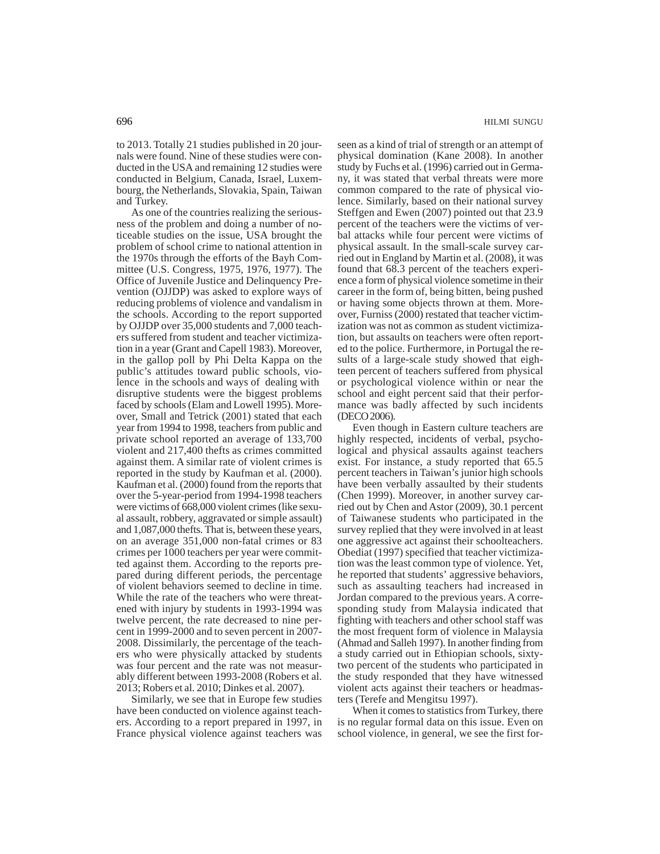to 2013. Totally 21 studies published in 20 journals were found. Nine of these studies were conducted in the USA and remaining 12 studies were conducted in Belgium, Canada, Israel, Luxembourg, the Netherlands, Slovakia, Spain, Taiwan and Turkey.

As one of the countries realizing the seriousness of the problem and doing a number of noticeable studies on the issue, USA brought the problem of school crime to national attention in the 1970s through the efforts of the Bayh Committee (U.S. Congress, 1975, 1976, 1977). The Office of Juvenile Justice and Delinquency Prevention (OJJDP) was asked to explore ways of reducing problems of violence and vandalism in the schools. According to the report supported by OJJDP over 35,000 students and 7,000 teachers suffered from student and teacher victimization in a year (Grant and Capell 1983). Moreover, in the gallop poll by Phi Delta Kappa on the public's attitudes toward public schools, violence in the schools and ways of dealing with disruptive students were the biggest problems faced by schools (Elam and Lowell 1995). Moreover, Small and Tetrick (2001) stated that each year from 1994 to 1998, teachers from public and private school reported an average of 133,700 violent and 217,400 thefts as crimes committed against them. A similar rate of violent crimes is reported in the study by Kaufman et al. (2000). Kaufman et al. (2000) found from the reports that over the 5-year-period from 1994-1998 teachers were victims of 668,000 violent crimes (like sexual assault, robbery, aggravated or simple assault) and 1,087,000 thefts. That is, between these years, on an average 351,000 non-fatal crimes or 83 crimes per 1000 teachers per year were committed against them. According to the reports prepared during different periods, the percentage of violent behaviors seemed to decline in time. While the rate of the teachers who were threatened with injury by students in 1993-1994 was twelve percent, the rate decreased to nine percent in 1999-2000 and to seven percent in 2007- 2008. Dissimilarly, the percentage of the teachers who were physically attacked by students was four percent and the rate was not measurably different between 1993-2008 (Robers et al. 2013; Robers et al. 2010; Dinkes et al. 2007).

Similarly, we see that in Europe few studies have been conducted on violence against teachers. According to a report prepared in 1997, in France physical violence against teachers was

seen as a kind of trial of strength or an attempt of physical domination (Kane 2008). In another study by Fuchs et al. (1996) carried out in Germany, it was stated that verbal threats were more common compared to the rate of physical violence. Similarly, based on their national survey Steffgen and Ewen (2007) pointed out that 23.9 percent of the teachers were the victims of verbal attacks while four percent were victims of physical assault. In the small-scale survey carried out in England by Martin et al. (2008), it was found that 68.3 percent of the teachers experience a form of physical violence sometime in their career in the form of, being bitten, being pushed or having some objects thrown at them. Moreover, Furniss (2000) restated that teacher victimization was not as common as student victimization, but assaults on teachers were often reported to the police. Furthermore, in Portugal the results of a large-scale study showed that eighteen percent of teachers suffered from physical or psychological violence within or near the school and eight percent said that their performance was badly affected by such incidents (DECO 2006).

Even though in Eastern culture teachers are highly respected, incidents of verbal, psychological and physical assaults against teachers exist. For instance, a study reported that 65.5 percent teachers in Taiwan's junior high schools have been verbally assaulted by their students (Chen 1999). Moreover, in another survey carried out by Chen and Astor (2009), 30.1 percent of Taiwanese students who participated in the survey replied that they were involved in at least one aggressive act against their schoolteachers. Obediat (1997) specified that teacher victimization was the least common type of violence. Yet, he reported that students' aggressive behaviors, such as assaulting teachers had increased in Jordan compared to the previous years. A corresponding study from Malaysia indicated that fighting with teachers and other school staff was the most frequent form of violence in Malaysia (Ahmad and Salleh 1997). In another finding from a study carried out in Ethiopian schools, sixtytwo percent of the students who participated in the study responded that they have witnessed violent acts against their teachers or headmasters (Terefe and Mengitsu 1997).

When it comes to statistics from Turkey, there is no regular formal data on this issue. Even on school violence, in general, we see the first for-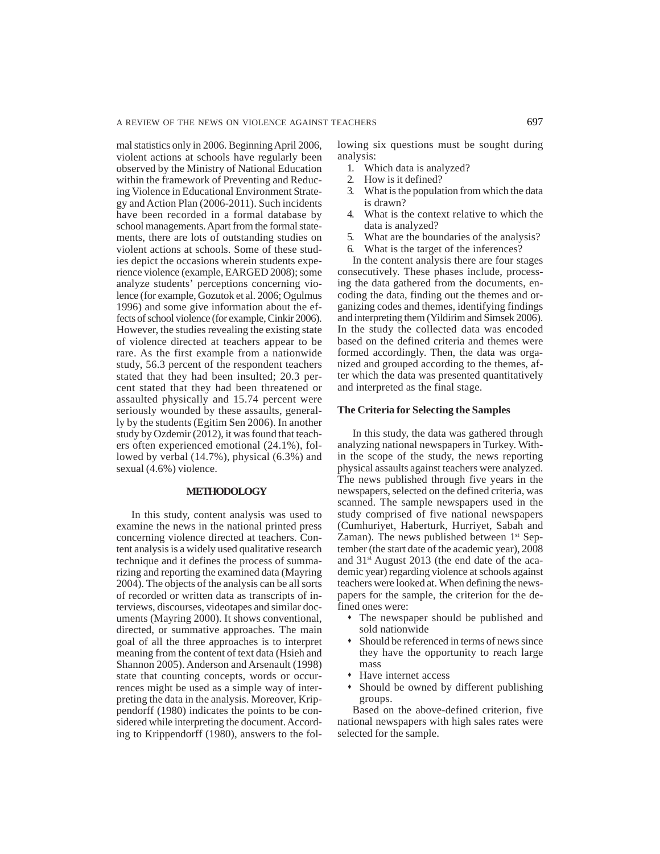mal statistics only in 2006. Beginning April 2006, violent actions at schools have regularly been observed by the Ministry of National Education within the framework of Preventing and Reducing Violence in Educational Environment Strategy and Action Plan (2006-2011). Such incidents have been recorded in a formal database by school managements. Apart from the formal statements, there are lots of outstanding studies on violent actions at schools. Some of these studies depict the occasions wherein students experience violence (example, EARGED 2008); some analyze students' perceptions concerning violence (for example, Gozutok et al. 2006; Ogulmus 1996) and some give information about the effects of school violence (for example, Cinkir 2006). However, the studies revealing the existing state of violence directed at teachers appear to be rare. As the first example from a nationwide study, 56.3 percent of the respondent teachers stated that they had been insulted; 20.3 percent stated that they had been threatened or assaulted physically and 15.74 percent were seriously wounded by these assaults, generally by the students (Egitim Sen 2006). In another study by Ozdemir (2012), it was found that teachers often experienced emotional (24.1%), followed by verbal (14.7%), physical (6.3%) and sexual (4.6%) violence.

### **METHODOLOGY**

In this study, content analysis was used to examine the news in the national printed press concerning violence directed at teachers. Content analysis is a widely used qualitative research technique and it defines the process of summarizing and reporting the examined data (Mayring 2004). The objects of the analysis can be all sorts of recorded or written data as transcripts of interviews, discourses, videotapes and similar documents (Mayring 2000). It shows conventional, directed, or summative approaches. The main goal of all the three approaches is to interpret meaning from the content of text data (Hsieh and Shannon 2005). Anderson and Arsenault (1998) state that counting concepts, words or occurrences might be used as a simple way of interpreting the data in the analysis. Moreover, Krippendorff (1980) indicates the points to be considered while interpreting the document. According to Krippendorff (1980), answers to the following six questions must be sought during analysis:

- 1. Which data is analyzed?
- 2. How is it defined?
- 3. What is the population from which the data is drawn?
- 4. What is the context relative to which the data is analyzed?
- 5. What are the boundaries of the analysis?
- 6. What is the target of the inferences?

In the content analysis there are four stages consecutively. These phases include, processing the data gathered from the documents, encoding the data, finding out the themes and organizing codes and themes, identifying findings and interpreting them (Yildirim and Simsek 2006). In the study the collected data was encoded based on the defined criteria and themes were formed accordingly. Then, the data was organized and grouped according to the themes, after which the data was presented quantitatively and interpreted as the final stage.

## **The Criteria for Selecting the Samples**

In this study, the data was gathered through analyzing national newspapers in Turkey. Within the scope of the study, the news reporting physical assaults against teachers were analyzed. The news published through five years in the newspapers, selected on the defined criteria, was scanned. The sample newspapers used in the study comprised of five national newspapers (Cumhuriyet, Haberturk, Hurriyet, Sabah and Zaman). The news published between  $1<sup>st</sup>$  September (the start date of the academic year), 2008 and 31st August 2013 (the end date of the academic year) regarding violence at schools against teachers were looked at. When defining the newspapers for the sample, the criterion for the defined ones were:

- The newspaper should be published and sold nationwide
- Should be referenced in terms of news since they have the opportunity to reach large mass
- Have internet access
- Should be owned by different publishing groups.

Based on the above-defined criterion, five national newspapers with high sales rates were selected for the sample.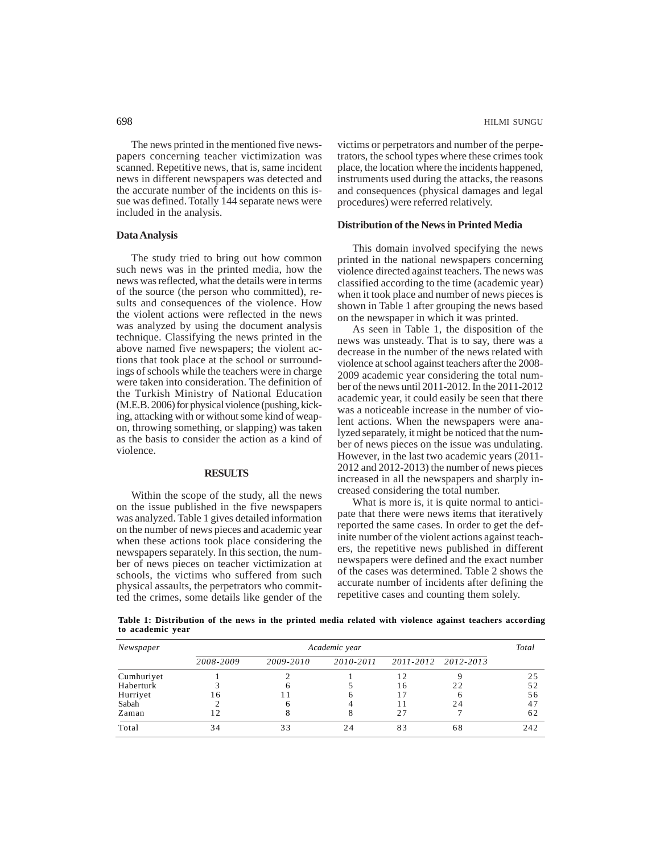The news printed in the mentioned five newspapers concerning teacher victimization was scanned. Repetitive news, that is, same incident news in different newspapers was detected and the accurate number of the incidents on this issue was defined. Totally 144 separate news were included in the analysis.

## **Data Analysis**

The study tried to bring out how common such news was in the printed media, how the news was reflected, what the details were in terms of the source (the person who committed), results and consequences of the violence. How the violent actions were reflected in the news was analyzed by using the document analysis technique. Classifying the news printed in the above named five newspapers; the violent actions that took place at the school or surroundings of schools while the teachers were in charge were taken into consideration. The definition of the Turkish Ministry of National Education (M.E.B. 2006) for physical violence (pushing, kicking, attacking with or without some kind of weapon, throwing something, or slapping) was taken as the basis to consider the action as a kind of violence.

## **RESULTS**

Within the scope of the study, all the news on the issue published in the five newspapers was analyzed. Table 1 gives detailed information on the number of news pieces and academic year when these actions took place considering the newspapers separately. In this section, the number of news pieces on teacher victimization at schools, the victims who suffered from such physical assaults, the perpetrators who committed the crimes, some details like gender of the victims or perpetrators and number of the perpetrators, the school types where these crimes took place, the location where the incidents happened, instruments used during the attacks, the reasons and consequences (physical damages and legal procedures) were referred relatively.

## **Distribution of the News in Printed Media**

This domain involved specifying the news printed in the national newspapers concerning violence directed against teachers. The news was classified according to the time (academic year) when it took place and number of news pieces is shown in Table 1 after grouping the news based on the newspaper in which it was printed.

As seen in Table 1, the disposition of the news was unsteady. That is to say, there was a decrease in the number of the news related with violence at school against teachers after the 2008- 2009 academic year considering the total number of the news until 2011-2012. In the 2011-2012 academic year, it could easily be seen that there was a noticeable increase in the number of violent actions. When the newspapers were analyzed separately, it might be noticed that the number of news pieces on the issue was undulating. However, in the last two academic years (2011- 2012 and 2012-2013) the number of news pieces increased in all the newspapers and sharply increased considering the total number.

What is more is, it is quite normal to anticipate that there were news items that iteratively reported the same cases. In order to get the definite number of the violent actions against teachers, the repetitive news published in different newspapers were defined and the exact number of the cases was determined. Table 2 shows the accurate number of incidents after defining the repetitive cases and counting them solely.

**Table 1: Distribution of the news in the printed media related with violence against teachers according to academic year**

| Newspaper  | Academic year |           |           |    |                     |     |  |  |
|------------|---------------|-----------|-----------|----|---------------------|-----|--|--|
|            | 2008-2009     | 2009-2010 | 2010-2011 |    | 2011-2012 2012-2013 |     |  |  |
| Cumhuriyet |               |           |           | 12 |                     | 25  |  |  |
| Haberturk  |               |           |           | 16 | 22                  | 52  |  |  |
| Hurriyet   | 16            |           |           | 17 |                     | 56  |  |  |
| Sabah      |               |           |           |    | 24                  | 47  |  |  |
| Zaman      |               |           |           | 27 |                     | 62  |  |  |
| Total      | 34            | 33        | 24        | 83 | 68                  | 242 |  |  |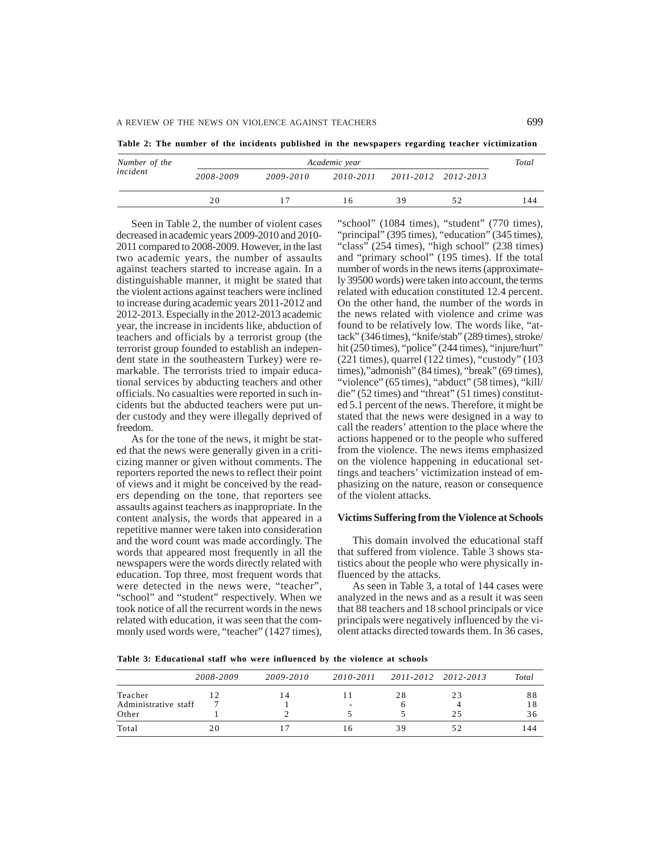**Table 2: The number of the incidents published in the newspapers regarding teacher victimization**

| Number of the | Academic year |           |           |                     |    |     |  |
|---------------|---------------|-----------|-----------|---------------------|----|-----|--|
| incident      | 2008-2009     | 2009-2010 | 2010-2011 | 2011-2012 2012-2013 |    |     |  |
|               | 20            | 17        | 16        | 39                  | 52 | 144 |  |

Seen in Table 2, the number of violent cases decreased in academic years 2009-2010 and 2010- 2011 compared to 2008-2009. However, in the last two academic years, the number of assaults against teachers started to increase again. In a distinguishable manner, it might be stated that the violent actions against teachers were inclined to increase during academic years 2011-2012 and 2012-2013. Especially in the 2012-2013 academic year, the increase in incidents like, abduction of teachers and officials by a terrorist group (the terrorist group founded to establish an independent state in the southeastern Turkey) were remarkable. The terrorists tried to impair educational services by abducting teachers and other officials. No casualties were reported in such incidents but the abducted teachers were put under custody and they were illegally deprived of freedom.

As for the tone of the news, it might be stated that the news were generally given in a criticizing manner or given without comments. The reporters reported the news to reflect their point of views and it might be conceived by the readers depending on the tone, that reporters see assaults against teachers as inappropriate. In the content analysis, the words that appeared in a repetitive manner were taken into consideration and the word count was made accordingly. The words that appeared most frequently in all the newspapers were the words directly related with education. Top three, most frequent words that were detected in the news were, "teacher", "school" and "student" respectively. When we took notice of all the recurrent words in the news related with education, it was seen that the commonly used words were, "teacher" (1427 times),

"school" (1084 times), "student" (770 times), "principal" (395 times), "education" (345 times), "class" (254 times), "high school" (238 times) and "primary school" (195 times). If the total number of words in the news items (approximately 39500 words) were taken into account, the terms related with education constituted 12.4 percent. On the other hand, the number of the words in the news related with violence and crime was found to be relatively low. The words like, "attack" (346 times), "knife/stab" (289 times), stroke/ hit (250 times), "police" (244 times), "injure/hurt" (221 times), quarrel (122 times), "custody" (103 times),"admonish" (84 times), "break" (69 times), "violence" (65 times), "abduct" (58 times), "kill/ die" (52 times) and "threat" (51 times) constituted 5.1 percent of the news. Therefore, it might be stated that the news were designed in a way to call the readers' attention to the place where the actions happened or to the people who suffered from the violence. The news items emphasized on the violence happening in educational settings and teachers' victimization instead of emphasizing on the nature, reason or consequence of the violent attacks.

## **Victims Suffering from the Violence at Schools**

This domain involved the educational staff that suffered from violence. Table 3 shows statistics about the people who were physically influenced by the attacks.

As seen in Table 3, a total of 144 cases were analyzed in the news and as a result it was seen that 88 teachers and 18 school principals or vice principals were negatively influenced by the violent attacks directed towards them. In 36 cases,

**Table 3: Educational staff who were influenced by the violence at schools**

|                      | 2008-2009 | 2009-2010 | 2010-2011 |    | 2011-2012 2012-2013 | Total |
|----------------------|-----------|-----------|-----------|----|---------------------|-------|
| Teacher              | 12        | l 4       |           | 28 | 23                  | 88    |
| Administrative staff |           |           | -         |    |                     |       |
| Other                |           |           |           |    | 25                  | 36    |
| Total                | 20        |           | l 6       | 39 | 52                  | 144   |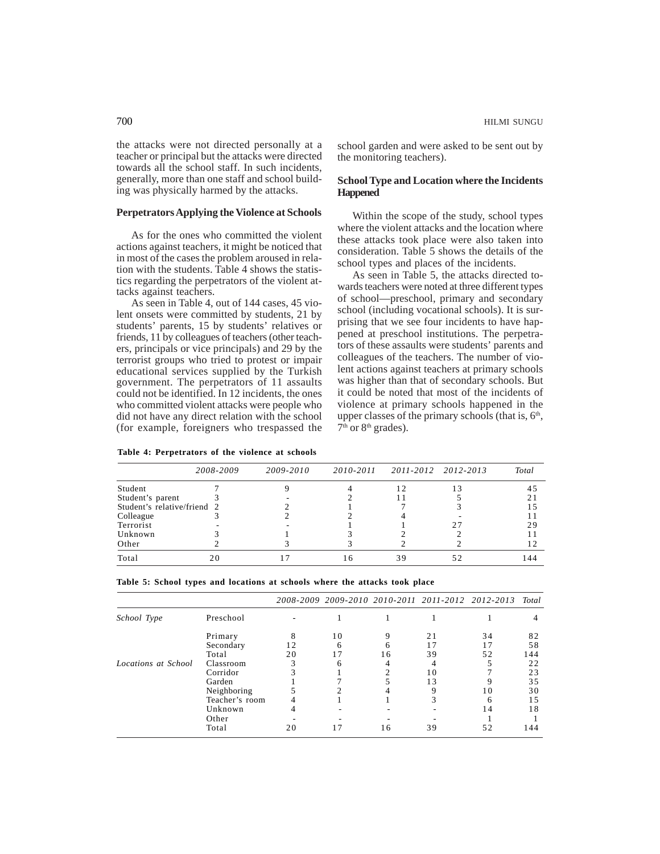the attacks were not directed personally at a teacher or principal but the attacks were directed towards all the school staff. In such incidents, generally, more than one staff and school building was physically harmed by the attacks.

## **Perpetrators Applying the Violence at Schools**

As for the ones who committed the violent actions against teachers, it might be noticed that in most of the cases the problem aroused in relation with the students. Table 4 shows the statistics regarding the perpetrators of the violent attacks against teachers.

As seen in Table 4, out of 144 cases, 45 violent onsets were committed by students, 21 by students' parents, 15 by students' relatives or friends, 11 by colleagues of teachers (other teachers, principals or vice principals) and 29 by the terrorist groups who tried to protest or impair educational services supplied by the Turkish government. The perpetrators of 11 assaults could not be identified. In 12 incidents, the ones who committed violent attacks were people who did not have any direct relation with the school (for example, foreigners who trespassed the

**Table 4: Perpetrators of the violence at schools**

school garden and were asked to be sent out by the monitoring teachers).

## **School Type and Location where the Incidents Happened**

Within the scope of the study, school types where the violent attacks and the location where these attacks took place were also taken into consideration. Table 5 shows the details of the school types and places of the incidents.

As seen in Table 5, the attacks directed towards teachers were noted at three different types of school—preschool, primary and secondary school (including vocational schools). It is surprising that we see four incidents to have happened at preschool institutions. The perpetrators of these assaults were students' parents and colleagues of the teachers. The number of violent actions against teachers at primary schools was higher than that of secondary schools. But it could be noted that most of the incidents of violence at primary schools happened in the upper classes of the primary schools (that is,  $6<sup>th</sup>$ , 7<sup>th</sup> or 8<sup>th</sup> grades).

|                             | 2008-2009 | 2009-2010 | 2010-2011 |    | 2011-2012 2012-2013 | Total |
|-----------------------------|-----------|-----------|-----------|----|---------------------|-------|
| Student                     |           |           |           | 12 |                     | 4.    |
| Student's parent            |           |           |           |    |                     |       |
| Student's relative/friend 2 |           |           |           |    |                     |       |
| Colleague                   |           |           |           |    |                     |       |
| Terrorist                   |           |           |           |    |                     | 29    |
| Unknown                     |           |           |           |    |                     |       |
| Other                       |           |           |           |    |                     |       |
| Total                       |           |           | ۱6        | 39 |                     | 144   |

| Table 5: School types and locations at schools where the attacks took place |  |  |  |  |  |  |  |
|-----------------------------------------------------------------------------|--|--|--|--|--|--|--|
|-----------------------------------------------------------------------------|--|--|--|--|--|--|--|

|                     |                |    |    |    |    | 2008-2009 2009-2010 2010-2011 2011-2012 2012-2013 Total |     |
|---------------------|----------------|----|----|----|----|---------------------------------------------------------|-----|
| School Type         | Preschool      |    |    |    |    |                                                         |     |
|                     | Primary        | 8  | 10 | 9  | 21 | 34                                                      | 82  |
|                     | Secondary      | 12 |    |    |    |                                                         | 58  |
|                     | Total          | 20 |    | 16 | 39 | 52                                                      | 144 |
| Locations at School | Classroom      | 3  |    |    |    |                                                         | 22  |
|                     | Corridor       |    |    |    | 10 |                                                         | 23  |
|                     | Garden         |    |    |    | 13 |                                                         | 35  |
|                     | Neighboring    |    |    |    | Q  | 10                                                      | 30  |
|                     | Teacher's room |    |    |    |    |                                                         | 15  |
|                     | Unknown        |    |    |    |    | 14                                                      | 18  |
|                     | Other          |    |    |    |    |                                                         |     |
|                     | Total          | 20 |    | 16 | 39 | 52                                                      | 144 |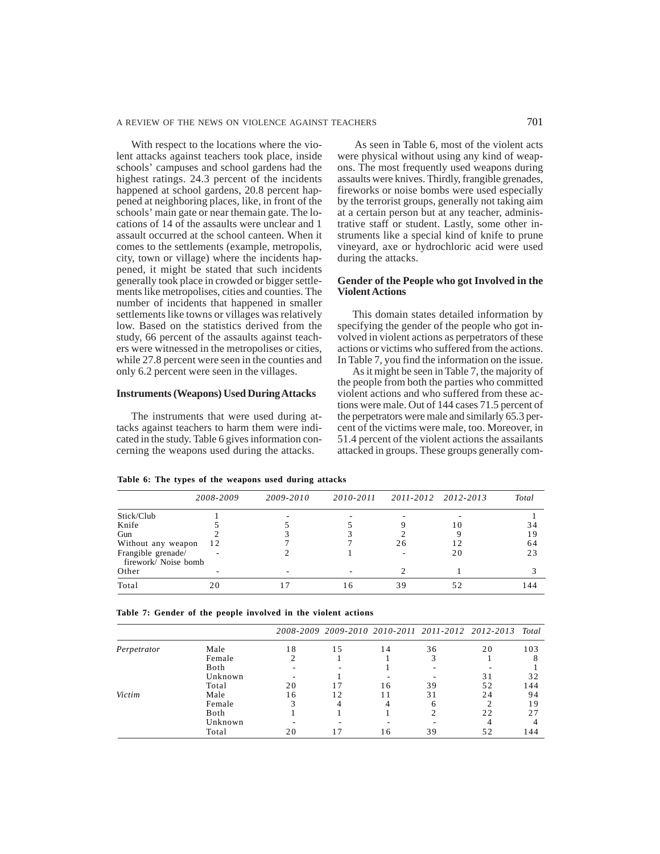With respect to the locations where the violent attacks against teachers took place, inside schools' campuses and school gardens had the highest ratings. 24.3 percent of the incidents happened at school gardens, 20.8 percent happened at neighboring places, like, in front of the schools' main gate or near themain gate. The locations of 14 of the assaults were unclear and 1 assault occurred at the school canteen. When it comes to the settlements (example, metropolis, city, town or village) where the incidents happened, it might be stated that such incidents generally took place in crowded or bigger settlements like metropolises, cities and counties. The number of incidents that happened in smaller settlements like towns or villages was relatively low. Based on the statistics derived from the study, 66 percent of the assaults against teachers were witnessed in the metropolises or cities, while 27.8 percent were seen in the counties and only 6.2 percent were seen in the villages.

## **Instruments (Weapons) Used During Attacks**

The instruments that were used during attacks against teachers to harm them were indicated in the study. Table 6 gives information concerning the weapons used during the attacks.

 As seen in Table 6, most of the violent acts were physical without using any kind of weapons. The most frequently used weapons during assaults were knives. Thirdly, frangible grenades, fireworks or noise bombs were used especially by the terrorist groups, generally not taking aim at a certain person but at any teacher, administrative staff or student. Lastly, some other instruments like a special kind of knife to prune vineyard, axe or hydrochloric acid were used during the attacks.

## **Gender of the People who got Involved in the Violent Actions**

This domain states detailed information by specifying the gender of the people who got involved in violent actions as perpetrators of these actions or victims who suffered from the actions. In Table 7, you find the information on the issue.

As it might be seen in Table 7, the majority of the people from both the parties who committed violent actions and who suffered from these actions were male. Out of 144 cases 71.5 percent of the perpetrators were male and similarly 65.3 percent of the victims were male, too. Moreover, in 51.4 percent of the violent actions the assailants attacked in groups. These groups generally com-

|                      | 2008-2009 | 2009-2010 | 2010-2011 | 2011-2012 2012-2013 |    | Total |
|----------------------|-----------|-----------|-----------|---------------------|----|-------|
| Stick/Club           |           |           |           |                     |    |       |
| Knife                |           |           |           |                     |    | 34    |
| Gun                  |           |           |           |                     |    | 19    |
| Without any weapon   | -12       |           |           | 26                  |    | 64    |
| Frangible grenade/   |           |           |           |                     | 20 | 23    |
| firework/ Noise bomb |           |           |           |                     |    |       |

| Table 6: The types of the weapons used during attacks |  |  |  |  |  |  |  |  |  |
|-------------------------------------------------------|--|--|--|--|--|--|--|--|--|
|-------------------------------------------------------|--|--|--|--|--|--|--|--|--|

|  |  |  |  |  |  | Table 7: Gender of the people involved in the violent actions |  |  |  |  |
|--|--|--|--|--|--|---------------------------------------------------------------|--|--|--|--|
|--|--|--|--|--|--|---------------------------------------------------------------|--|--|--|--|

|             |         |    |     |    |    | 2008-2009 2009-2010 2010-2011 2011-2012 2012-2013 Total |      |
|-------------|---------|----|-----|----|----|---------------------------------------------------------|------|
| Perpetrator | Male    | 18 | 1.5 | 14 | 36 | 20                                                      | 103  |
|             | Female  |    |     |    |    |                                                         |      |
|             | Both    |    |     |    |    |                                                         |      |
|             | Unknown |    |     |    |    | 31                                                      | 32   |
|             | Total   | 20 |     | 16 | 39 | 52                                                      | 144  |
| Victim      | Male    | 16 | 12  |    | 31 | 24                                                      | 94   |
|             | Female  | 3  |     |    | h  |                                                         | 19   |
|             | Both    |    |     |    |    | 22                                                      | 27   |
|             | Unknown |    |     |    |    |                                                         |      |
|             | Total   | 20 |     | 16 | 39 | 52                                                      | l 44 |

Other - - - - - 2 1 3 Total 20 17 16 39 52 144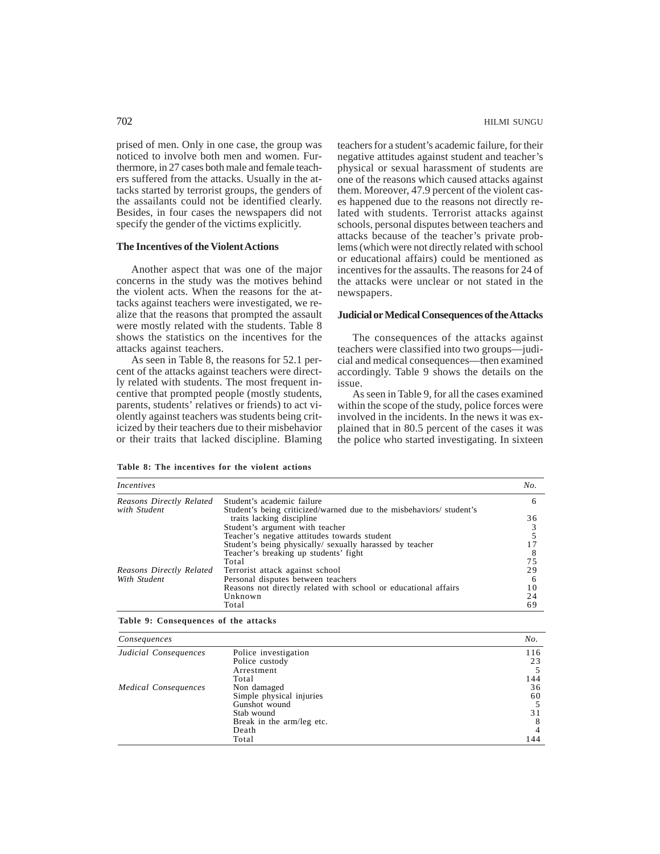prised of men. Only in one case, the group was noticed to involve both men and women. Furthermore, in 27 cases both male and female teach-

ers suffered from the attacks. Usually in the attacks started by terrorist groups, the genders of the assailants could not be identified clearly. Besides, in four cases the newspapers did not specify the gender of the victims explicitly.

## **The Incentives of the Violent Actions**

Another aspect that was one of the major concerns in the study was the motives behind the violent acts. When the reasons for the attacks against teachers were investigated, we realize that the reasons that prompted the assault were mostly related with the students. Table 8 shows the statistics on the incentives for the attacks against teachers.

As seen in Table 8, the reasons for 52.1 percent of the attacks against teachers were directly related with students. The most frequent incentive that prompted people (mostly students, parents, students' relatives or friends) to act violently against teachers was students being criticized by their teachers due to their misbehavior or their traits that lacked discipline. Blaming teachers for a student's academic failure, for their negative attitudes against student and teacher's physical or sexual harassment of students are one of the reasons which caused attacks against them. Moreover, 47.9 percent of the violent cases happened due to the reasons not directly related with students. Terrorist attacks against schools, personal disputes between teachers and attacks because of the teacher's private problems (which were not directly related with school or educational affairs) could be mentioned as incentives for the assaults. The reasons for 24 of the attacks were unclear or not stated in the newspapers.

## **Judicial or Medical Consequences of the Attacks**

The consequences of the attacks against teachers were classified into two groups—judicial and medical consequences—then examined accordingly. Table 9 shows the details on the issue.

As seen in Table 9, for all the cases examined within the scope of the study, police forces were involved in the incidents. In the news it was explained that in 80.5 percent of the cases it was the police who started investigating. In sixteen

### **Table 8: The incentives for the violent actions**

| Incentives               |                                                                      | No. |
|--------------------------|----------------------------------------------------------------------|-----|
| Reasons Directly Related | Student's academic failure                                           | 6   |
| with Student             | Student's being criticized/warned due to the misbehaviors/ student's |     |
|                          | traits lacking discipline                                            | 36  |
|                          | Student's argument with teacher                                      |     |
|                          | Teacher's negative attitudes towards student                         |     |
|                          | Student's being physically/ sexually harassed by teacher             |     |
|                          | Teacher's breaking up students' fight                                |     |
|                          | Total                                                                | 75  |
| Reasons Directly Related | Terrorist attack against school                                      | 29  |
| With Student             | Personal disputes between teachers                                   | -6  |
|                          | Reasons not directly related with school or educational affairs      | 10  |
|                          | Unknown                                                              | 24  |
|                          | Total                                                                | 69  |

**Table 9: Consequences of the attacks**

| Consequences          |                           | No. |
|-----------------------|---------------------------|-----|
| Judicial Consequences | Police investigation      | 116 |
|                       | Police custody            | 23  |
|                       | Arrestment                |     |
|                       | Total                     | 144 |
| Medical Consequences  | Non damaged               | 36  |
|                       | Simple physical injuries  | 60  |
|                       | Gunshot wound             |     |
|                       | Stab wound                | 31  |
|                       | Break in the arm/leg etc. |     |
|                       | Death                     |     |
|                       | Total                     | 144 |

## 702 HILMI SUNGU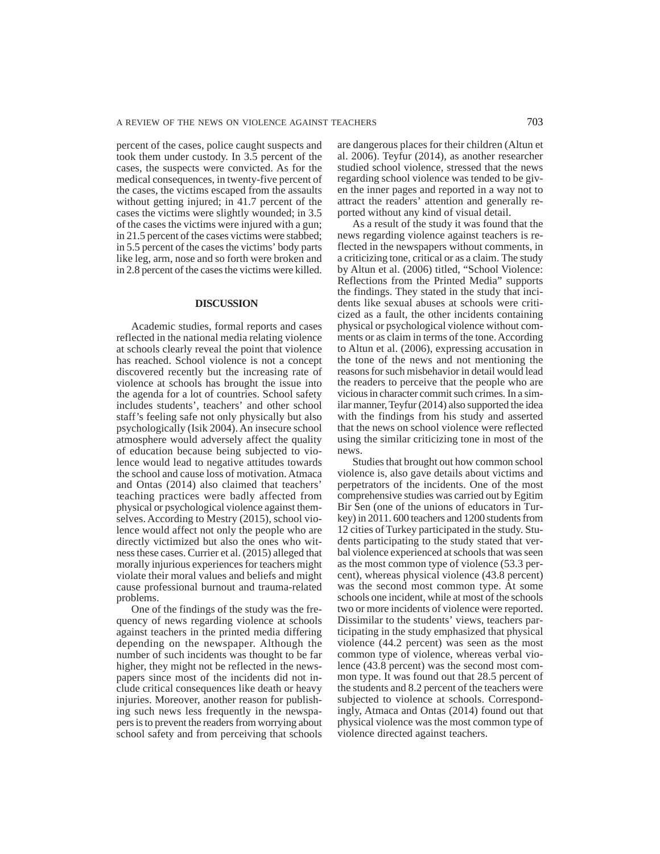percent of the cases, police caught suspects and took them under custody. In 3.5 percent of the cases, the suspects were convicted. As for the medical consequences, in twenty-five percent of the cases, the victims escaped from the assaults without getting injured; in 41.7 percent of the cases the victims were slightly wounded; in 3.5 of the cases the victims were injured with a gun; in 21.5 percent of the cases victims were stabbed; in 5.5 percent of the cases the victims' body parts like leg, arm, nose and so forth were broken and in 2.8 percent of the cases the victims were killed.

## **DISCUSSION**

Academic studies, formal reports and cases reflected in the national media relating violence at schools clearly reveal the point that violence has reached. School violence is not a concept discovered recently but the increasing rate of violence at schools has brought the issue into the agenda for a lot of countries. School safety includes students', teachers' and other school staff's feeling safe not only physically but also psychologically (Isik 2004). An insecure school atmosphere would adversely affect the quality of education because being subjected to violence would lead to negative attitudes towards the school and cause loss of motivation. Atmaca and Ontas (2014) also claimed that teachers' teaching practices were badly affected from physical or psychological violence against themselves. According to Mestry (2015), school violence would affect not only the people who are directly victimized but also the ones who witness these cases. Currier et al. (2015) alleged that morally injurious experiences for teachers might violate their moral values and beliefs and might cause professional burnout and trauma-related problems.

One of the findings of the study was the frequency of news regarding violence at schools against teachers in the printed media differing depending on the newspaper. Although the number of such incidents was thought to be far higher, they might not be reflected in the newspapers since most of the incidents did not include critical consequences like death or heavy injuries. Moreover, another reason for publishing such news less frequently in the newspapers is to prevent the readers from worrying about school safety and from perceiving that schools

are dangerous places for their children (Altun et al. 2006). Teyfur (2014), as another researcher studied school violence, stressed that the news regarding school violence was tended to be given the inner pages and reported in a way not to attract the readers' attention and generally reported without any kind of visual detail.

As a result of the study it was found that the news regarding violence against teachers is reflected in the newspapers without comments, in a criticizing tone, critical or as a claim. The study by Altun et al. (2006) titled, "School Violence: Reflections from the Printed Media" supports the findings. They stated in the study that incidents like sexual abuses at schools were criticized as a fault, the other incidents containing physical or psychological violence without comments or as claim in terms of the tone. According to Altun et al. (2006), expressing accusation in the tone of the news and not mentioning the reasons for such misbehavior in detail would lead the readers to perceive that the people who are vicious in character commit such crimes. In a similar manner, Teyfur (2014) also supported the idea with the findings from his study and asserted that the news on school violence were reflected using the similar criticizing tone in most of the news.

Studies that brought out how common school violence is, also gave details about victims and perpetrators of the incidents. One of the most comprehensive studies was carried out by Egitim Bir Sen (one of the unions of educators in Turkey) in 2011. 600 teachers and 1200 students from 12 cities of Turkey participated in the study. Students participating to the study stated that verbal violence experienced at schools that was seen as the most common type of violence (53.3 percent), whereas physical violence (43.8 percent) was the second most common type. At some schools one incident, while at most of the schools two or more incidents of violence were reported. Dissimilar to the students' views, teachers participating in the study emphasized that physical violence (44.2 percent) was seen as the most common type of violence, whereas verbal violence (43.8 percent) was the second most common type. It was found out that 28.5 percent of the students and 8.2 percent of the teachers were subjected to violence at schools. Correspondingly, Atmaca and Ontas (2014) found out that physical violence was the most common type of violence directed against teachers.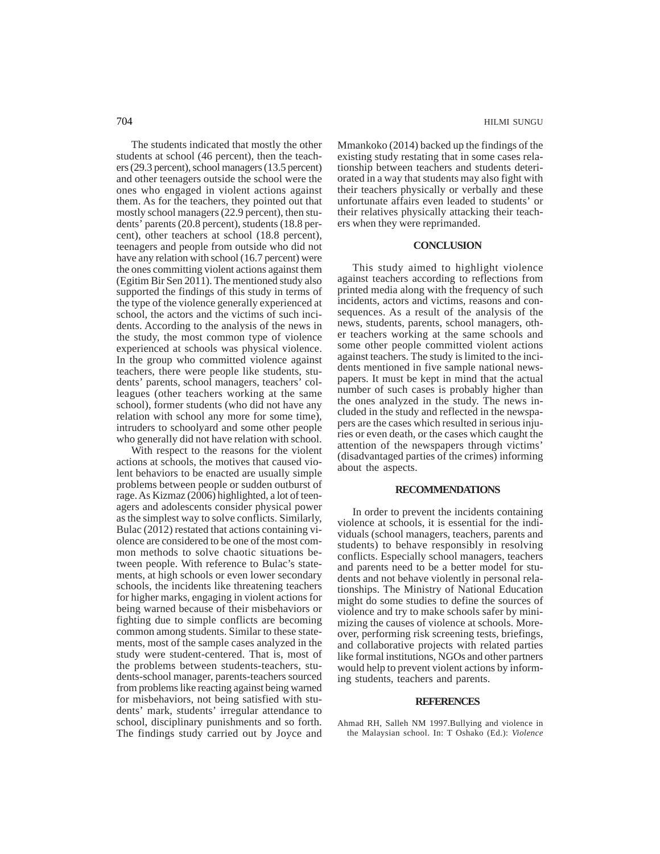The students indicated that mostly the other students at school (46 percent), then the teachers (29.3 percent), school managers (13.5 percent) and other teenagers outside the school were the ones who engaged in violent actions against them. As for the teachers, they pointed out that mostly school managers (22.9 percent), then students' parents (20.8 percent), students (18.8 percent), other teachers at school (18.8 percent), teenagers and people from outside who did not have any relation with school (16.7 percent) were the ones committing violent actions against them (Egitim Bir Sen 2011). The mentioned study also supported the findings of this study in terms of the type of the violence generally experienced at school, the actors and the victims of such incidents. According to the analysis of the news in the study, the most common type of violence experienced at schools was physical violence. In the group who committed violence against teachers, there were people like students, students' parents, school managers, teachers' colleagues (other teachers working at the same school), former students (who did not have any relation with school any more for some time), intruders to schoolyard and some other people who generally did not have relation with school.

With respect to the reasons for the violent actions at schools, the motives that caused violent behaviors to be enacted are usually simple problems between people or sudden outburst of rage. As Kizmaz (2006) highlighted, a lot of teenagers and adolescents consider physical power as the simplest way to solve conflicts. Similarly, Bulac (2012) restated that actions containing violence are considered to be one of the most common methods to solve chaotic situations between people. With reference to Bulac's statements, at high schools or even lower secondary schools, the incidents like threatening teachers for higher marks, engaging in violent actions for being warned because of their misbehaviors or fighting due to simple conflicts are becoming common among students. Similar to these statements, most of the sample cases analyzed in the study were student-centered. That is, most of the problems between students-teachers, students-school manager, parents-teachers sourced from problems like reacting against being warned for misbehaviors, not being satisfied with students' mark, students' irregular attendance to school, disciplinary punishments and so forth. The findings study carried out by Joyce and Mmankoko (2014) backed up the findings of the existing study restating that in some cases relationship between teachers and students deteriorated in a way that students may also fight with their teachers physically or verbally and these unfortunate affairs even leaded to students' or their relatives physically attacking their teachers when they were reprimanded.

## **CONCLUSION**

This study aimed to highlight violence against teachers according to reflections from printed media along with the frequency of such incidents, actors and victims, reasons and consequences. As a result of the analysis of the news, students, parents, school managers, other teachers working at the same schools and some other people committed violent actions against teachers. The study is limited to the incidents mentioned in five sample national newspapers. It must be kept in mind that the actual number of such cases is probably higher than the ones analyzed in the study. The news included in the study and reflected in the newspapers are the cases which resulted in serious injuries or even death, or the cases which caught the attention of the newspapers through victims' (disadvantaged parties of the crimes) informing about the aspects.

## **RECOMMENDATIONS**

In order to prevent the incidents containing violence at schools, it is essential for the individuals (school managers, teachers, parents and students) to behave responsibly in resolving conflicts. Especially school managers, teachers and parents need to be a better model for students and not behave violently in personal relationships. The Ministry of National Education might do some studies to define the sources of violence and try to make schools safer by minimizing the causes of violence at schools. Moreover, performing risk screening tests, briefings, and collaborative projects with related parties like formal institutions, NGOs and other partners would help to prevent violent actions by informing students, teachers and parents.

## **REFERENCES**

Ahmad RH, Salleh NM 1997.Bullying and violence in the Malaysian school. In: T Oshako (Ed.): *Violence*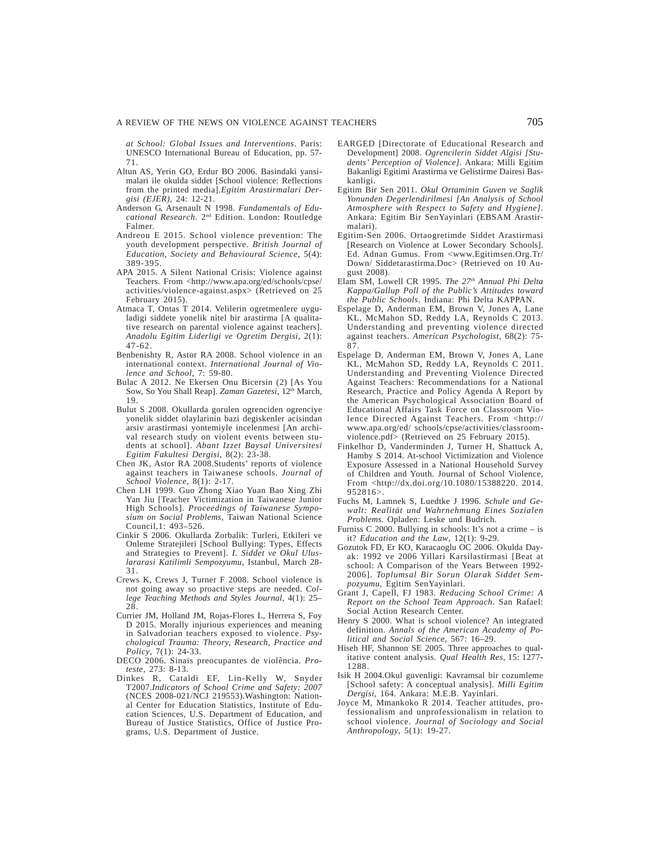*at School: Global Issues and Interventions*. Paris: UNESCO International Bureau of Education, pp. 57- 71.

- Altun AS, Yerin GO, Erdur BO 2006. Basindaki yansimalari ile okulda siddet [School violence: Reflections from the printed media].*Egitim Arastirmalari Dergisi (EJER),* 24: 12-21.
- Anderson G, Arsenault N 1998. *Fundamentals of Educational Research.* 2nd Edition. London: Routledge Falmer.
- Andreou E 2015. School violence prevention: The youth development perspective. *British Journal of Education, Society and Behavioural Science*, 5(4): 389-395.
- APA 2015. A Silent National Crisis: Violence against Teachers. From <http://www.apa.org/ed/schools/cpse/ activities/violence-against.aspx> (Retrieved on 25 February 2015).
- Atmaca T, Ontas T 2014. Velilerin ogretmenlere uyguladigi siddete yonelik nitel bir arastirma [A qualitative research on parental violence against teachers]. *Anadolu Egitim Liderligi ve Ogretim Dergisi*, 2(1): 47-62.
- Benbenishty R, Astor RA 2008. School violence in an international context. *International Journal of Violence and School*, 7: 59-80.
- Bulac A 2012. Ne Ekersen Onu Bicersin (2) [As You Sow, So You Shall Reap]. *Zaman Gazetesi*, 12<sup>th</sup> March, 19.
- Bulut S 2008. Okullarda gorulen ogrenciden ogrenciye yonelik siddet olaylarinin bazi degiskenler acisindan arsiv arastirmasi yontemiyle incelenmesi [An archival research study on violent events between students at school]. *Abant Izzet Baysal Universitesi Egitim Fakultesi Dergisi*, 8(2): 23-38.
- Chen JK, Astor RA 2008.Students' reports of violence against teachers in Taiwanese schools. *Journal of School Violence,* 8(1): 2-17.
- Chen LH 1999. Guo Zhong Xiao Yuan Bao Xing Zhi Yan Jiu [Teacher Victimization in Taiwanese Junior High Schools]. *Proceedings of Taiwanese Symposium on Social Problems,* Taiwan National Science Council,1: 493–526.
- Cinkir S 2006. Okullarda Zorbalik: Turleri, Etkileri ve Onleme Stratejileri [School Bullying: Types, Effects and Strategies to Prevent]. *I. Siddet ve Okul Uluslararasi Katilimli Sempozyumu*, Istanbul, March 28- 31.
- Crews K, Crews J, Turner F 2008. School violence is not going away so proactive steps are needed. *College Teaching Methods and Styles Journal*, 4(1): 25– 28.
- Currier JM, Holland JM, Rojas-Flores L, Herrera S, Foy D 2015. Morally injurious experiences and meaning in Salvadorian teachers exposed to violence. *Psychological Trauma: Theory, Research, Practice and Policy*, 7(1): 24-33.
- DECO 2006. Sinais preocupantes de violência. *Proteste*, 273: 8-13.
- Dinkes R, Cataldi EF, Lin-Kelly W, Snyder T2007.*Indicators of School Crime and Safety: 2007* (NCES 2008-021/NCJ 219553).Washington: National Center for Education Statistics, Institute of Education Sciences, U.S. Department of Education, and Bureau of Justice Statistics, Office of Justice Programs, U.S. Department of Justice.
- EARGED [Directorate of Educational Research and Development] 2008. *Ogrencilerin Siddet Algisi [Students' Perception of Violence]*. Ankara: Milli Egitim Bakanligi Egitimi Arastirma ve Gelistirme Dairesi Baskanligi.
- Egitim Bir Sen 2011. *Okul Ortaminin Guven ve Saglik Yonunden Degerlendirilmesi [An Analysis of School Atmosphere with Respect to Safety and Hygiene]*. Ankara: Egitim Bir SenYayinlari (EBSAM Arastirmalari).
- Egitim-Sen 2006. Ortaogretimde Siddet Arastirmasi [Research on Violence at Lower Secondary Schools]. Ed. Adnan Gumus. From <www.Egitimsen.Org.Tr/ Down/ Siddetarastirma.Doc> (Retrieved on 10 August 2008).
- Elam SM, Lowell CR 1995. *The 27th Annual Phi Delta Kappa/Gallup Poll of the Public's Attitudes toward the Public Schools*. Indiana: Phi Delta KAPPAN.
- Espelage D, Anderman EM, Brown V, Jones A, Lane KL, McMahon SD, Reddy LA, Reynolds C 2013. Understanding and preventing violence directed against teachers. *American Psychologist*, 68(2): 75- 87.
- Espelage D, Anderman EM, Brown V, Jones A, Lane KL, McMahon SD, Reddy LA, Reynolds C 2011. Understanding and Preventing Violence Directed Against Teachers: Recommendations for a National Research, Practice and Policy Agenda A Report by the American Psychological Association Board of Educational Affairs Task Force on Classroom Violence Directed Against Teachers. From <http:// www.apa.org/ed/ schools/cpse/activities/classroomviolence.pdf> (Retrieved on 25 February 2015).
- Finkelhor D, Vanderminden J, Turner H, Shattuck A, Hamby S 2014. At-school Victimization and Violence Exposure Assessed in a National Household Survey of Children and Youth*.* Journal of School Violence, From <http://dx.doi.org/10.1080/15388220. 2014. 952816>.
- Fuchs M, Lamnek S, Luedtke J 1996. *Schule und Gewalt: Realität und Wahrnehmung Eines Sozialen Problems*. Opladen: Leske und Budrich.
- Furniss C 2000. Bullying in schools: It's not a crime is it? *Education and the Law*, 12(1): 9-29.
- Gozutok FD, Er KO, Karacaoglu OC 2006. Okulda Dayak: 1992 ve 2006 Yillari Karsilastirmasi [Beat at school: A Comparison of the Years Between 1992- 2006]. *Toplumsal Bir Sorun Olarak Siddet Sempozyumu*, Egitim SenYayinlari.
- Grant J, Capell, FJ 1983. *Reducing School Crime: A Report on the School Team Approach*. San Rafael: Social Action Research Center.
- Henry S 2000. What is school violence? An integrated definition. *Annals of the American Academy of Political and Social Science,* 567: 16–29.
- Hiseh HF, Shannon SE 2005. Three approaches to qualitative content analysis. *Qual Health Res*, 15: 1277-1288.
- Isik H 2004.Okul guvenligi: Kavramsal bir cozumleme [School safety: A conceptual analysis]. *Milli Egitim Dergisi*, 164. Ankara: M.E.B. Yayinlari.
- Joyce M, Mmankoko R 2014. Teacher attitudes, professionalism and unprofessionalism in relation to school violence. *Journal of Sociology and Social Anthropology*, 5(1): 19-27.